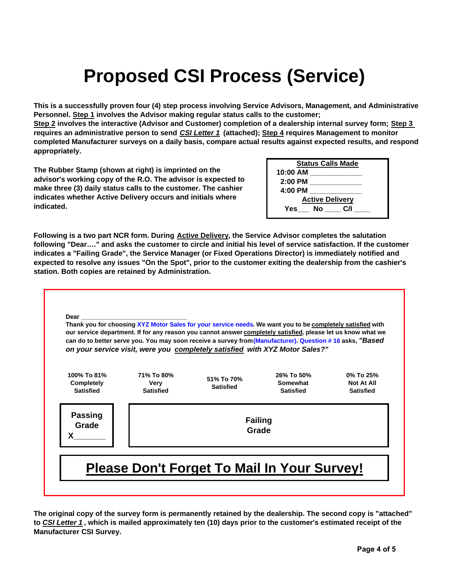## **Proposed CSI Process (Service)**

**This is a successfully proven four (4) step process involving Service Advisors, Management, and Administrative Personnel. Step 1 involves the Advisor making regular status calls to the customer;** 

**Step 2 involves the interactive (Advisor and Customer) completion of a dealership internal survey form; Step 3 requires an administrative person to send** *CSI Letter 1* **(attached); Step 4 requires Management to monitor completed Manufacturer surveys on a daily basis, compare actual results against expected results, and respond appropriately.**

**The Rubber Stamp (shown at right) is imprinted on the advisor's working copy of the R.O. The advisor is expected to make three (3) daily status calls to the customer. The cashier indicates whether Active Delivery occurs and initials where indicated.**

| <b>Status Calls Made</b> |  |
|--------------------------|--|
| 10:00 AM                 |  |
| $2:00$ PM                |  |
| 4:00 PM                  |  |
| <b>Active Delivery</b>   |  |
| C/I<br>Yes<br>No l       |  |

**Following is a two part NCR form. During Active Delivery, the Service Advisor completes the salutation following "Dear…." and asks the customer to circle and initial his level of service satisfaction. If the customer indicates a "Failing Grade", the Service Manager (or Fixed Operations Director) is immediately notified and expected to resolve any issues "On the Spot", prior to the customer exiting the dealership from the cashier's station. Both copies are retained by Administration.**



**The original copy of the survey form is permanently retained by the dealership. The second copy is "attached" to** *CSI Letter 1* **, which is mailed approximately ten (10) days prior to the customer's estimated receipt of the Manufacturer CSI Survey.**